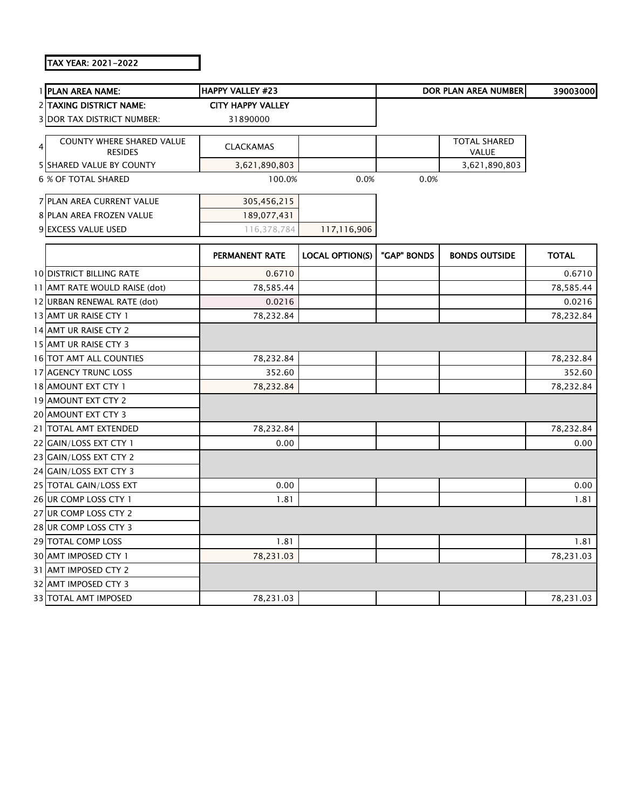## TAX YEAR: 2021-2022

|   | 1 PLAN AREA NAME:                                  | <b>HAPPY VALLEY #23</b>  |                        |             | DOR PLAN AREA NUMBER                | 39003000     |
|---|----------------------------------------------------|--------------------------|------------------------|-------------|-------------------------------------|--------------|
|   | <b>2 TAXING DISTRICT NAME:</b>                     | <b>CITY HAPPY VALLEY</b> |                        |             |                                     |              |
|   | <b>3 DOR TAX DISTRICT NUMBER:</b>                  | 31890000                 |                        |             |                                     |              |
| 4 | <b>COUNTY WHERE SHARED VALUE</b><br><b>RESIDES</b> | <b>CLACKAMAS</b>         |                        |             | <b>TOTAL SHARED</b><br><b>VALUE</b> |              |
|   | <b>5 SHARED VALUE BY COUNTY</b>                    | 3,621,890,803            |                        |             | 3,621,890,803                       |              |
|   | <b>6 % OF TOTAL SHARED</b>                         | 100.0%                   | 0.0%                   | 0.0%        |                                     |              |
|   | 7 PLAN AREA CURRENT VALUE                          | 305,456,215              |                        |             |                                     |              |
|   | 8 PLAN AREA FROZEN VALUE                           | 189,077,431              |                        |             |                                     |              |
|   | 9 EXCESS VALUE USED                                | 116,378,784              | 117,116,906            |             |                                     |              |
|   |                                                    | <b>PERMANENT RATE</b>    | <b>LOCAL OPTION(S)</b> | "GAP" BONDS | <b>BONDS OUTSIDE</b>                | <b>TOTAL</b> |
|   | <b>10 DISTRICT BILLING RATE</b>                    | 0.6710                   |                        |             |                                     | 0.6710       |
|   | 11 AMT RATE WOULD RAISE (dot)                      | 78,585.44                |                        |             |                                     | 78,585.44    |
|   | 12 URBAN RENEWAL RATE (dot)                        | 0.0216                   |                        |             |                                     | 0.0216       |
|   | 13 AMT UR RAISE CTY 1                              | 78,232.84                |                        |             |                                     | 78,232.84    |
|   | 14 AMT UR RAISE CTY 2                              |                          |                        |             |                                     |              |
|   | 15 AMT UR RAISE CTY 3                              |                          |                        |             |                                     |              |
|   | 16 TOT AMT ALL COUNTIES                            | 78,232.84                |                        |             |                                     | 78,232.84    |
|   | 17 AGENCY TRUNC LOSS                               | 352.60                   |                        |             |                                     | 352.60       |
|   | 18 AMOUNT EXT CTY 1                                | 78,232.84                |                        |             |                                     | 78,232.84    |
|   | 19 AMOUNT EXT CTY 2                                |                          |                        |             |                                     |              |
|   | 20 AMOUNT EXT CTY 3                                |                          |                        |             |                                     |              |
|   | 21 TOTAL AMT EXTENDED                              | 78,232.84                |                        |             |                                     | 78,232.84    |
|   | 22 GAIN/LOSS EXT CTY 1                             | 0.00                     |                        |             |                                     | 0.00         |
|   | 23 GAIN/LOSS EXT CTY 2                             |                          |                        |             |                                     |              |
|   | 24 GAIN/LOSS EXT CTY 3                             |                          |                        |             |                                     |              |
|   | 25 TOTAL GAIN/LOSS EXT                             | 0.00                     |                        |             |                                     | 0.00         |
|   | 26 UR COMP LOSS CTY 1                              | 1.81                     |                        |             |                                     | 1.81         |
|   | 27 UR COMP LOSS CTY 2                              |                          |                        |             |                                     |              |
|   | 28 UR COMP LOSS CTY 3                              |                          |                        |             |                                     |              |
|   | 29 TOTAL COMP LOSS                                 | 1.81                     |                        |             |                                     | 1.81         |
|   | 30 AMT IMPOSED CTY 1                               | 78,231.03                |                        |             |                                     | 78,231.03    |
|   | 31 AMT IMPOSED CTY 2                               |                          |                        |             |                                     |              |
|   | 32 AMT IMPOSED CTY 3                               |                          |                        |             |                                     |              |
|   | 33 TOTAL AMT IMPOSED                               | 78,231.03                |                        |             |                                     | 78,231.03    |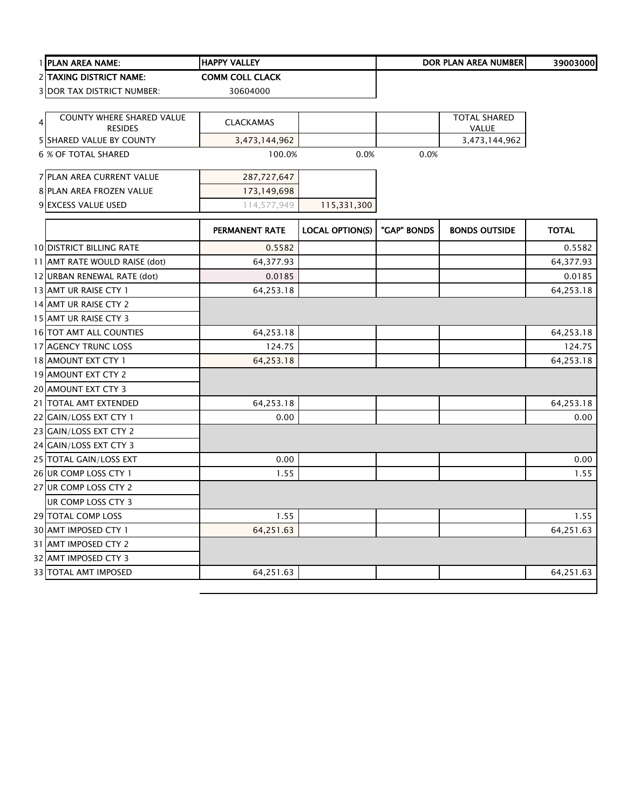|   | 1 PLAN AREA NAME:                                 | <b>HAPPY VALLEY</b>    |                        |             | <b>DOR PLAN AREA NUMBER</b>   | 39003000     |
|---|---------------------------------------------------|------------------------|------------------------|-------------|-------------------------------|--------------|
|   | <b>2 ITAXING DISTRICT NAME:</b>                   | <b>COMM COLL CLACK</b> |                        |             |                               |              |
|   | 3 DOR TAX DISTRICT NUMBER:                        | 30604000               |                        |             |                               |              |
|   |                                                   |                        |                        |             |                               |              |
| 4 | COUNTY WHERE SHARED VALUE                         | <b>CLACKAMAS</b>       |                        |             | <b>TOTAL SHARED</b>           |              |
|   | <b>RESIDES</b><br><b>5 SHARED VALUE BY COUNTY</b> | 3,473,144,962          |                        |             | <b>VALUE</b><br>3,473,144,962 |              |
|   | 6 % OF TOTAL SHARED                               | 100.0%                 | 0.0%                   | 0.0%        |                               |              |
|   |                                                   |                        |                        |             |                               |              |
|   | 7 PLAN AREA CURRENT VALUE                         | 287,727,647            |                        |             |                               |              |
|   | 8 PLAN AREA FROZEN VALUE                          | 173,149,698            |                        |             |                               |              |
|   | 9 EXCESS VALUE USED                               | 114,577,949            | 115,331,300            |             |                               |              |
|   |                                                   |                        |                        |             |                               |              |
|   |                                                   | PERMANENT RATE         | <b>LOCAL OPTION(S)</b> | "GAP" BONDS | <b>BONDS OUTSIDE</b>          | <b>TOTAL</b> |
|   | <b>10 DISTRICT BILLING RATE</b>                   | 0.5582                 |                        |             |                               | 0.5582       |
|   | 11 AMT RATE WOULD RAISE (dot)                     | 64,377.93              |                        |             |                               | 64,377.93    |
|   | 12 URBAN RENEWAL RATE (dot)                       | 0.0185                 |                        |             |                               | 0.0185       |
|   | 13 AMT UR RAISE CTY 1                             | 64,253.18              |                        |             |                               | 64,253.18    |
|   | 14 AMT UR RAISE CTY 2                             |                        |                        |             |                               |              |
|   | 15 AMT UR RAISE CTY 3                             |                        |                        |             |                               |              |
|   | 16 TOT AMT ALL COUNTIES                           | 64,253.18              |                        |             |                               | 64,253.18    |
|   | 17 AGENCY TRUNC LOSS                              | 124.75                 |                        |             |                               | 124.75       |
|   | 18 AMOUNT EXT CTY 1                               | 64,253.18              |                        |             |                               | 64,253.18    |
|   | 19 AMOUNT EXT CTY 2                               |                        |                        |             |                               |              |
|   | 20 AMOUNT EXT CTY 3                               |                        |                        |             |                               |              |
|   | 21 TOTAL AMT EXTENDED                             | 64,253.18              |                        |             |                               | 64,253.18    |
|   | 22 GAIN/LOSS EXT CTY 1                            | 0.00                   |                        |             |                               | 0.00         |
|   | 23 GAIN/LOSS EXT CTY 2                            |                        |                        |             |                               |              |
|   | 24 GAIN/LOSS EXT CTY 3                            |                        |                        |             |                               |              |
|   | 25 TOTAL GAIN/LOSS EXT                            | 0.00                   |                        |             |                               | 0.00         |
|   | 26 UR COMP LOSS CTY 1                             | 1.55                   |                        |             |                               | 1.55         |
|   | 27 UR COMP LOSS CTY 2                             |                        |                        |             |                               |              |
|   | UR COMP LOSS CTY 3                                |                        |                        |             |                               |              |
|   | <b>29 TOTAL COMP LOSS</b>                         | 1.55                   |                        |             |                               | 1.55         |
|   | 30 AMT IMPOSED CTY 1                              | 64,251.63              |                        |             |                               | 64,251.63    |
|   | 31 AMT IMPOSED CTY 2                              |                        |                        |             |                               |              |
|   | 32 AMT IMPOSED CTY 3                              |                        |                        |             |                               |              |
|   | 33 TOTAL AMT IMPOSED                              | 64,251.63              |                        |             |                               | 64,251.63    |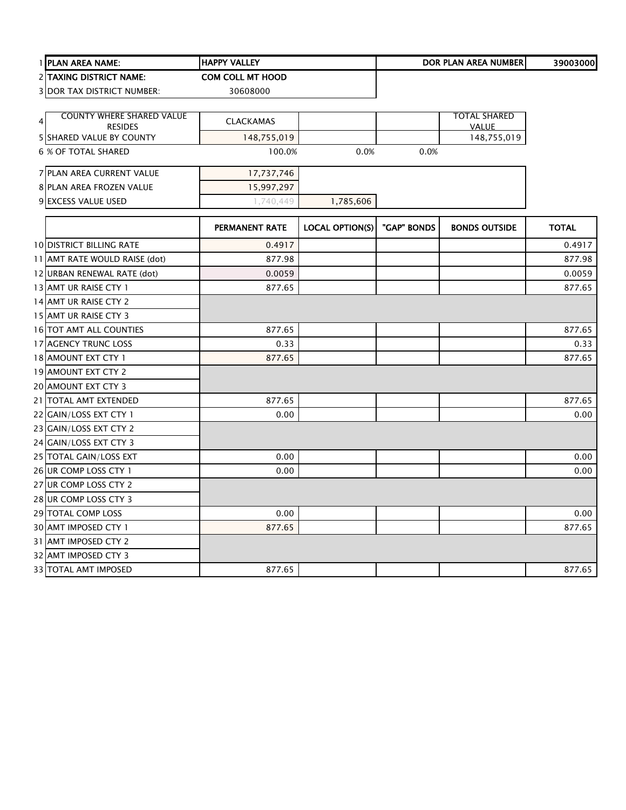|   | 1 PLAN AREA NAME:                                  | <b>HAPPY VALLEY</b>     |                        |             | <b>DOR PLAN AREA NUMBER</b>         | 39003000     |
|---|----------------------------------------------------|-------------------------|------------------------|-------------|-------------------------------------|--------------|
|   | 2 TAXING DISTRICT NAME:                            | <b>COM COLL MT HOOD</b> |                        |             |                                     |              |
|   | <b>3 DOR TAX DISTRICT NUMBER:</b>                  | 30608000                |                        |             |                                     |              |
|   |                                                    |                         |                        |             |                                     |              |
| 4 | <b>COUNTY WHERE SHARED VALUE</b><br><b>RESIDES</b> | <b>CLACKAMAS</b>        |                        |             | <b>TOTAL SHARED</b><br><b>VALUE</b> |              |
|   | 5 SHARED VALUE BY COUNTY                           | 148,755,019             |                        |             | 148,755,019                         |              |
|   | 6 % OF TOTAL SHARED                                | 100.0%                  | 0.0%                   | 0.0%        |                                     |              |
|   | 7 PLAN AREA CURRENT VALUE                          | 17,737,746              |                        |             |                                     |              |
|   | 8 PLAN AREA FROZEN VALUE                           | 15,997,297              |                        |             |                                     |              |
|   | 9 EXCESS VALUE USED                                | 1,740,449               | 1,785,606              |             |                                     |              |
|   |                                                    | <b>PERMANENT RATE</b>   | <b>LOCAL OPTION(S)</b> | "GAP" BONDS | <b>BONDS OUTSIDE</b>                | <b>TOTAL</b> |
|   | <b>10 DISTRICT BILLING RATE</b>                    | 0.4917                  |                        |             |                                     | 0.4917       |
|   | 11 AMT RATE WOULD RAISE (dot)                      | 877.98                  |                        |             |                                     | 877.98       |
|   | 12 URBAN RENEWAL RATE (dot)                        | 0.0059                  |                        |             |                                     | 0.0059       |
|   | 13 AMT UR RAISE CTY 1                              | 877.65                  |                        |             |                                     | 877.65       |
|   | 14 AMT UR RAISE CTY 2                              |                         |                        |             |                                     |              |
|   | 15 AMT UR RAISE CTY 3                              |                         |                        |             |                                     |              |
|   | 16 TOT AMT ALL COUNTIES                            | 877.65                  |                        |             |                                     | 877.65       |
|   | 17 AGENCY TRUNC LOSS                               | 0.33                    |                        |             |                                     | 0.33         |
|   | 18 AMOUNT EXT CTY 1                                | 877.65                  |                        |             |                                     | 877.65       |
|   | 19 AMOUNT EXT CTY 2                                |                         |                        |             |                                     |              |
|   | 20 AMOUNT EXT CTY 3                                |                         |                        |             |                                     |              |
|   | 21 TOTAL AMT EXTENDED                              | 877.65                  |                        |             |                                     | 877.65       |
|   | 22 GAIN/LOSS EXT CTY 1                             | 0.00                    |                        |             |                                     | 0.00         |
|   | 23 GAIN/LOSS EXT CTY 2                             |                         |                        |             |                                     |              |
|   | 24 GAIN/LOSS EXT CTY 3                             |                         |                        |             |                                     |              |
|   | 25 TOTAL GAIN/LOSS EXT                             | 0.00                    |                        |             |                                     | 0.00         |
|   | 26 UR COMP LOSS CTY 1                              | 0.00                    |                        |             |                                     | 0.00         |
|   | 27 UR COMP LOSS CTY 2                              |                         |                        |             |                                     |              |
|   | 28 UR COMP LOSS CTY 3                              |                         |                        |             |                                     |              |
|   | 29 TOTAL COMP LOSS                                 | 0.00                    |                        |             |                                     | 0.00         |
|   | 30 AMT IMPOSED CTY 1                               | 877.65                  |                        |             |                                     | 877.65       |
|   | 31 AMT IMPOSED CTY 2                               |                         |                        |             |                                     |              |
|   | 32 AMT IMPOSED CTY 3                               |                         |                        |             |                                     |              |
|   | <b>33 TOTAL AMT IMPOSED</b>                        | 877.65                  |                        |             |                                     | 877.65       |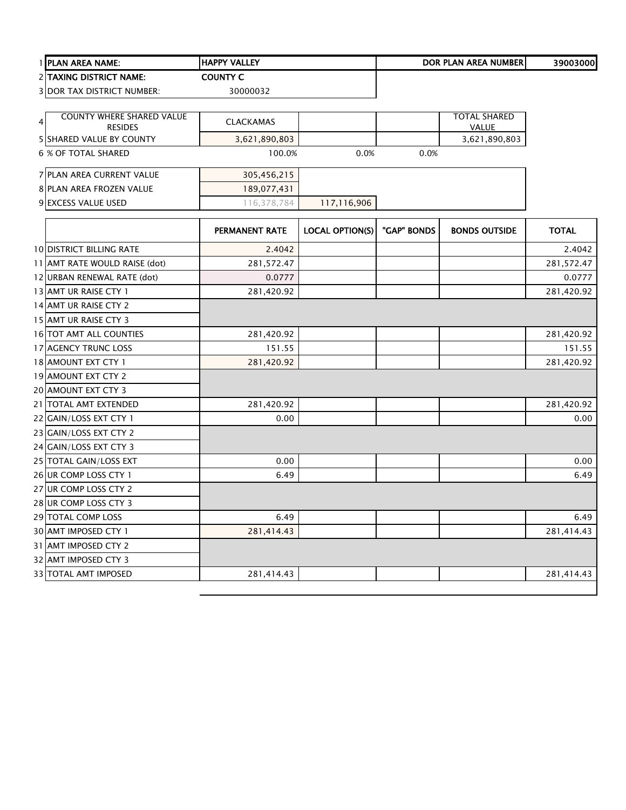|   | PLAN AREA NAME:                            | <b>HAPPY VALLEY</b>   |                        |             | <b>DOR PLAN AREA NUMBER</b>   | 39003000     |
|---|--------------------------------------------|-----------------------|------------------------|-------------|-------------------------------|--------------|
|   | 2 TAXING DISTRICT NAME:                    | <b>COUNTY C</b>       |                        |             |                               |              |
|   | <b>3 DOR TAX DISTRICT NUMBER:</b>          | 30000032              |                        |             |                               |              |
|   |                                            |                       |                        |             |                               |              |
| 4 | <b>COUNTY WHERE SHARED VALUE</b>           | <b>CLACKAMAS</b>      |                        |             | <b>TOTAL SHARED</b>           |              |
|   | <b>RESIDES</b><br>5 SHARED VALUE BY COUNTY | 3,621,890,803         |                        |             | <b>VALUE</b><br>3,621,890,803 |              |
|   | <b>6 % OF TOTAL SHARED</b>                 | 100.0%                | 0.0%                   | 0.0%        |                               |              |
|   |                                            |                       |                        |             |                               |              |
|   | 7 PLAN AREA CURRENT VALUE                  | 305,456,215           |                        |             |                               |              |
|   | 8 PLAN AREA FROZEN VALUE                   | 189,077,431           |                        |             |                               |              |
|   | 9 EXCESS VALUE USED                        | 116,378,784           | 117,116,906            |             |                               |              |
|   |                                            |                       |                        |             |                               |              |
|   |                                            | <b>PERMANENT RATE</b> | <b>LOCAL OPTION(S)</b> | "GAP" BONDS | <b>BONDS OUTSIDE</b>          | <b>TOTAL</b> |
|   | <b>10 DISTRICT BILLING RATE</b>            | 2.4042                |                        |             |                               | 2.4042       |
|   | 11 AMT RATE WOULD RAISE (dot)              | 281,572.47            |                        |             |                               | 281,572.47   |
|   | 12 URBAN RENEWAL RATE (dot)                | 0.0777                |                        |             |                               | 0.0777       |
|   | 13 AMT UR RAISE CTY 1                      | 281,420.92            |                        |             |                               | 281,420.92   |
|   | 14 AMT UR RAISE CTY 2                      |                       |                        |             |                               |              |
|   | 15 AMT UR RAISE CTY 3                      |                       |                        |             |                               |              |
|   | 16 TOT AMT ALL COUNTIES                    | 281,420.92            |                        |             |                               | 281,420.92   |
|   | 17 AGENCY TRUNC LOSS                       | 151.55                |                        |             |                               | 151.55       |
|   | 18 AMOUNT EXT CTY 1                        | 281,420.92            |                        |             |                               | 281,420.92   |
|   | 19 AMOUNT EXT CTY 2                        |                       |                        |             |                               |              |
|   | 20 AMOUNT EXT CTY 3                        |                       |                        |             |                               |              |
|   | 21 TOTAL AMT EXTENDED                      | 281,420.92            |                        |             |                               | 281,420.92   |
|   | 22 GAIN/LOSS EXT CTY 1                     | 0.00                  |                        |             |                               | 0.00         |
|   | 23 GAIN/LOSS EXT CTY 2                     |                       |                        |             |                               |              |
|   | 24 GAIN/LOSS EXT CTY 3                     |                       |                        |             |                               |              |
|   | 25 TOTAL GAIN/LOSS EXT                     | 0.00                  |                        |             |                               | 0.00         |
|   | 26 UR COMP LOSS CTY 1                      | 6.49                  |                        |             |                               | 6.49         |
|   | 27 UR COMP LOSS CTY 2                      |                       |                        |             |                               |              |
|   | 28 UR COMP LOSS CTY 3                      |                       |                        |             |                               |              |
|   | 29 TOTAL COMP LOSS                         | 6.49                  |                        |             |                               | 6.49         |
|   | 30 AMT IMPOSED CTY 1                       | 281,414.43            |                        |             |                               | 281,414.43   |
|   | 31 AMT IMPOSED CTY 2                       |                       |                        |             |                               |              |
|   | 32 AMT IMPOSED CTY 3                       |                       |                        |             |                               |              |
|   | 33 TOTAL AMT IMPOSED                       | 281,414.43            |                        |             |                               | 281,414.43   |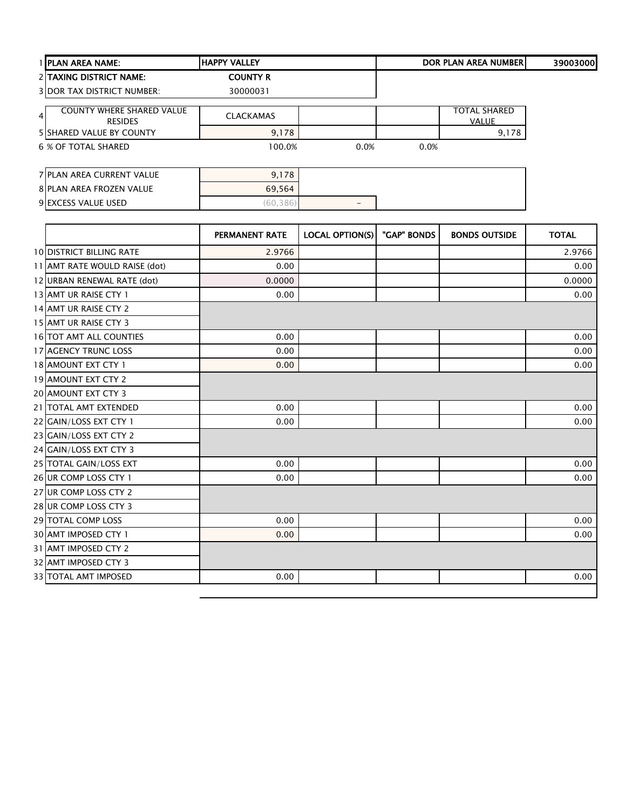|                | <b>I IPLAN AREA NAME:</b>                          | <b>HAPPY VALLEY</b> |      |      | <b>DOR PLAN AREA NUMBERI</b>        | 39003000 |
|----------------|----------------------------------------------------|---------------------|------|------|-------------------------------------|----------|
|                | <b>2 TAXING DISTRICT NAME:</b>                     | <b>COUNTY R</b>     |      |      |                                     |          |
|                | <b>3IDOR TAX DISTRICT NUMBER:</b>                  | 30000031            |      |      |                                     |          |
| $\overline{4}$ | <b>COUNTY WHERE SHARED VALUE</b><br><b>RESIDES</b> | <b>CLACKAMAS</b>    |      |      | <b>TOTAL SHARED</b><br><b>VALUE</b> |          |
|                | <b>5 SHARED VALUE BY COUNTY</b>                    | 9,178               |      |      | 9,178                               |          |
|                | 6 % OF TOTAL SHARED                                | 100.0%              | 0.0% | 0.0% |                                     |          |
|                | 7 PLAN AREA CURRENT VALUE                          | 9,178               |      |      |                                     |          |
|                |                                                    |                     |      |      |                                     |          |

| TPLAIN AREA CURREINT VALUE | 9, 170 |     |
|----------------------------|--------|-----|
| 8 PLAN AREA FROZEN VALUE   | 69,564 |     |
| 9 EXCESS VALUE USED        |        | $-$ |
|                            |        |     |

|                                 | <b>PERMANENT RATE</b> | LOCAL OPTION(S) | "GAP" BONDS | <b>BONDS OUTSIDE</b> | <b>TOTAL</b> |
|---------------------------------|-----------------------|-----------------|-------------|----------------------|--------------|
| <b>10 DISTRICT BILLING RATE</b> | 2.9766                |                 |             |                      | 2.9766       |
| 11 AMT RATE WOULD RAISE (dot)   | 0.00                  |                 |             |                      | 0.00         |
| 12 URBAN RENEWAL RATE (dot)     | 0.0000                |                 |             |                      | 0.0000       |
| 13 AMT UR RAISE CTY 1           | 0.00                  |                 |             |                      | 0.00         |
| 14 AMT UR RAISE CTY 2           |                       |                 |             |                      |              |
| 15 AMT UR RAISE CTY 3           |                       |                 |             |                      |              |
| 16 TOT AMT ALL COUNTIES         | 0.00                  |                 |             |                      | 0.00         |
| 17 AGENCY TRUNC LOSS            | 0.00                  |                 |             |                      | 0.00         |
| 18 AMOUNT EXT CTY 1             | 0.00                  |                 |             |                      | 0.00         |
| 19 AMOUNT EXT CTY 2             |                       |                 |             |                      |              |
| 20 AMOUNT EXT CTY 3             |                       |                 |             |                      |              |
| 21 TOTAL AMT EXTENDED           | 0.00                  |                 |             |                      | 0.00         |
| 22 GAIN/LOSS EXT CTY 1          | 0.00                  |                 |             |                      | 0.00         |
| 23 GAIN/LOSS EXT CTY 2          |                       |                 |             |                      |              |
| 24 GAIN/LOSS EXT CTY 3          |                       |                 |             |                      |              |
| 25 TOTAL GAIN/LOSS EXT          | 0.00                  |                 |             |                      | 0.00         |
| 26 UR COMP LOSS CTY 1           | 0.00                  |                 |             |                      | 0.00         |
| 27 UR COMP LOSS CTY 2           |                       |                 |             |                      |              |
| 28 UR COMP LOSS CTY 3           |                       |                 |             |                      |              |
| 29 TOTAL COMP LOSS              | 0.00                  |                 |             |                      | 0.00         |
| 30 AMT IMPOSED CTY 1            | 0.00                  |                 |             |                      | 0.00         |
| 31 AMT IMPOSED CTY 2            |                       |                 |             |                      |              |
| 32 AMT IMPOSED CTY 3            |                       |                 |             |                      |              |
| <b>33 TOTAL AMT IMPOSED</b>     | 0.00                  |                 |             |                      | 0.00         |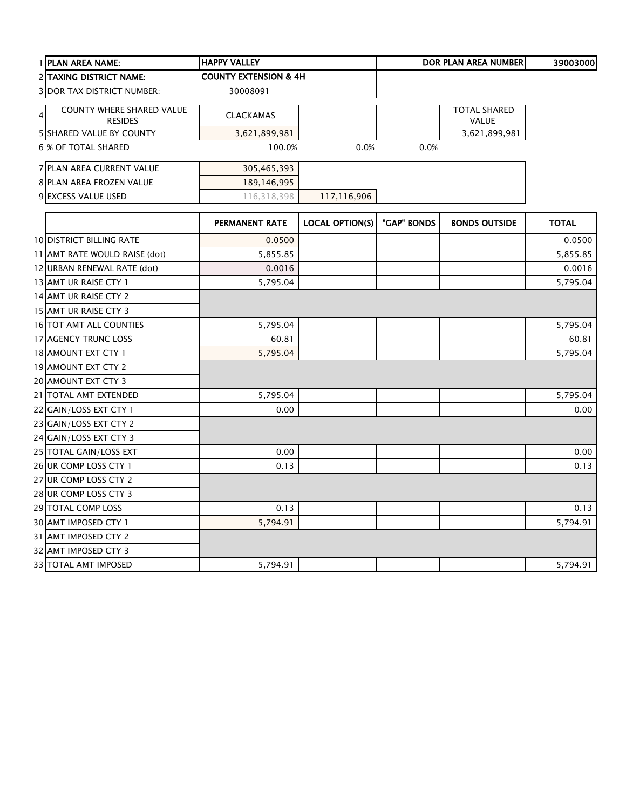| 1 PLAN AREA NAME:                                                    | <b>HAPPY VALLEY</b>              |                        |             | <b>DOR PLAN AREA NUMBER</b>  | 39003000     |
|----------------------------------------------------------------------|----------------------------------|------------------------|-------------|------------------------------|--------------|
| <b>2 TAXING DISTRICT NAME:</b>                                       | <b>COUNTY EXTENSION &amp; 4H</b> |                        |             |                              |              |
| <b>3 DOR TAX DISTRICT NUMBER:</b>                                    | 30008091                         |                        |             |                              |              |
| <b>COUNTY WHERE SHARED VALUE</b><br>$\overline{4}$<br><b>RESIDES</b> | <b>CLACKAMAS</b>                 |                        |             | <b>TOTAL SHARED</b><br>VALUE |              |
| <b>5 SHARED VALUE BY COUNTY</b>                                      | 3,621,899,981                    |                        |             | 3,621,899,981                |              |
| 6 % OF TOTAL SHARED                                                  | 100.0%                           | 0.0%                   | 0.0%        |                              |              |
| 7 PLAN AREA CURRENT VALUE                                            | 305,465,393                      |                        |             |                              |              |
| 8 PLAN AREA FROZEN VALUE                                             | 189,146,995                      |                        |             |                              |              |
| 9 EXCESS VALUE USED                                                  | 116,318,398                      | 117,116,906            |             |                              |              |
|                                                                      | PERMANENT RATE                   | <b>LOCAL OPTION(S)</b> | "GAP" BONDS | <b>BONDS OUTSIDE</b>         | <b>TOTAL</b> |
| <b>10 DISTRICT BILLING RATE</b>                                      | 0.0500                           |                        |             |                              | 0.0500       |
| 11 AMT RATE WOULD RAISE (dot)                                        | 5,855.85                         |                        |             |                              | 5,855.85     |
| 12 URBAN RENEWAL RATE (dot)                                          | 0.0016                           |                        |             |                              | 0.0016       |
| 13 AMT UR RAISE CTY 1                                                | 5,795.04                         |                        |             |                              | 5,795.04     |
| 14 AMT UR RAISE CTY 2                                                |                                  |                        |             |                              |              |
| 15 AMT UR RAISE CTY 3                                                |                                  |                        |             |                              |              |
| 16 TOT AMT ALL COUNTIES                                              | 5,795.04                         |                        |             |                              | 5,795.04     |
| 17 AGENCY TRUNC LOSS                                                 | 60.81                            |                        |             |                              | 60.81        |
| 18 AMOUNT EXT CTY 1                                                  | 5,795.04                         |                        |             |                              | 5,795.04     |
| 19 AMOUNT EXT CTY 2                                                  |                                  |                        |             |                              |              |
| 20 AMOUNT EXT CTY 3                                                  |                                  |                        |             |                              |              |
| 21 TOTAL AMT EXTENDED                                                | 5,795.04                         |                        |             |                              | 5,795.04     |
| 22 GAIN/LOSS EXT CTY 1                                               | 0.00                             |                        |             |                              | 0.00         |
| 23 GAIN/LOSS EXT CTY 2                                               |                                  |                        |             |                              |              |
| 24 GAIN/LOSS EXT CTY 3                                               |                                  |                        |             |                              |              |
| 25 TOTAL GAIN/LOSS EXT                                               | 0.00                             |                        |             |                              | 0.00         |
| 26 UR COMP LOSS CTY 1                                                | 0.13                             |                        |             |                              | 0.13         |
| 27 UR COMP LOSS CTY 2                                                |                                  |                        |             |                              |              |
| 28 UR COMP LOSS CTY 3                                                |                                  |                        |             |                              |              |
| 29 TOTAL COMP LOSS                                                   | 0.13                             |                        |             |                              | 0.13         |
| 30 AMT IMPOSED CTY 1                                                 | 5,794.91                         |                        |             |                              | 5,794.91     |
| 31 AMT IMPOSED CTY 2                                                 |                                  |                        |             |                              |              |
| 32 AMT IMPOSED CTY 3                                                 |                                  |                        |             |                              |              |
| 33 TOTAL AMT IMPOSED                                                 | 5,794.91                         |                        |             |                              | 5,794.91     |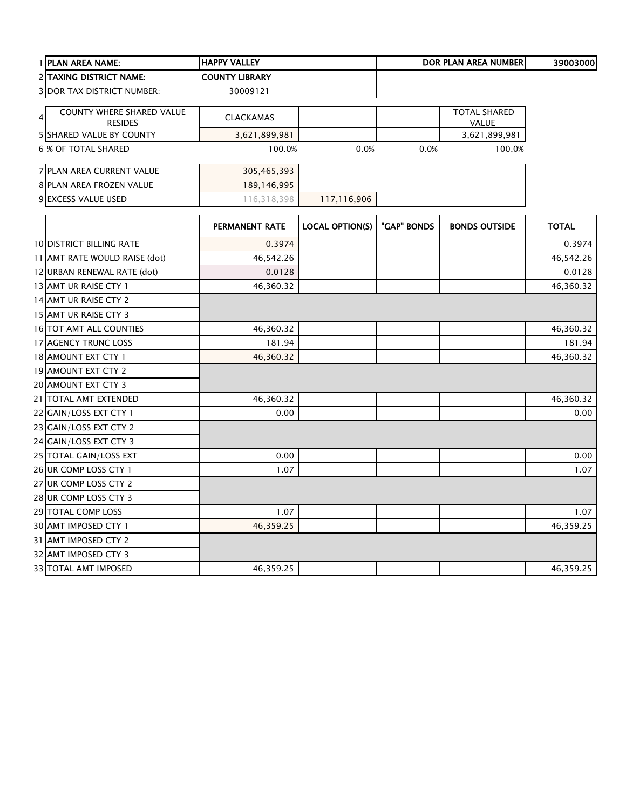|                | 1 PLAN AREA NAME:                                  | <b>HAPPY VALLEY</b>   |                        |             | <b>DOR PLAN AREA NUMBER</b>  | 39003000     |
|----------------|----------------------------------------------------|-----------------------|------------------------|-------------|------------------------------|--------------|
|                | 2 TAXING DISTRICT NAME:                            | <b>COUNTY LIBRARY</b> |                        |             |                              |              |
|                | <b>3 DOR TAX DISTRICT NUMBER:</b>                  | 30009121              |                        |             |                              |              |
| $\overline{4}$ | <b>COUNTY WHERE SHARED VALUE</b><br><b>RESIDES</b> | <b>CLACKAMAS</b>      |                        |             | <b>TOTAL SHARED</b><br>VALUE |              |
|                | 5 SHARED VALUE BY COUNTY                           | 3,621,899,981         |                        |             | 3,621,899,981                |              |
|                | 6 % OF TOTAL SHARED                                | 100.0%                | 0.0%                   | 0.0%        | 100.0%                       |              |
|                | 7 PLAN AREA CURRENT VALUE                          | 305,465,393           |                        |             |                              |              |
|                | 8 PLAN AREA FROZEN VALUE                           | 189,146,995           |                        |             |                              |              |
|                | 9 EXCESS VALUE USED                                | 116,318,398           | 117,116,906            |             |                              |              |
|                |                                                    | <b>PERMANENT RATE</b> | <b>LOCAL OPTION(S)</b> | "GAP" BONDS | <b>BONDS OUTSIDE</b>         | <b>TOTAL</b> |
|                | <b>10 DISTRICT BILLING RATE</b>                    | 0.3974                |                        |             |                              | 0.3974       |
|                | 11 AMT RATE WOULD RAISE (dot)                      | 46,542.26             |                        |             |                              | 46,542.26    |
|                | 12 URBAN RENEWAL RATE (dot)                        | 0.0128                |                        |             |                              | 0.0128       |
|                | 13 AMT UR RAISE CTY 1                              | 46,360.32             |                        |             |                              | 46,360.32    |
|                | 14 AMT UR RAISE CTY 2                              |                       |                        |             |                              |              |
|                | 15 AMT UR RAISE CTY 3                              |                       |                        |             |                              |              |
|                | 16 TOT AMT ALL COUNTIES                            | 46,360.32             |                        |             |                              | 46,360.32    |
|                | 17 AGENCY TRUNC LOSS                               | 181.94                |                        |             |                              | 181.94       |
|                | 18 AMOUNT EXT CTY 1                                | 46,360.32             |                        |             |                              | 46,360.32    |
|                | 19 AMOUNT EXT CTY 2                                |                       |                        |             |                              |              |
|                | 20 AMOUNT EXT CTY 3                                |                       |                        |             |                              |              |
|                | 21 TOTAL AMT EXTENDED                              | 46,360.32             |                        |             |                              | 46,360.32    |
|                | 22 GAIN/LOSS EXT CTY 1                             | 0.00                  |                        |             |                              | 0.00         |
|                | 23 GAIN/LOSS EXT CTY 2                             |                       |                        |             |                              |              |
|                | 24 GAIN/LOSS EXT CTY 3                             |                       |                        |             |                              |              |
|                | 25 TOTAL GAIN/LOSS EXT                             | 0.00                  |                        |             |                              | 0.00         |
|                | 26 UR COMP LOSS CTY 1                              | 1.07                  |                        |             |                              | 1.07         |
|                | 27 UR COMP LOSS CTY 2                              |                       |                        |             |                              |              |
|                | 28 UR COMP LOSS CTY 3                              |                       |                        |             |                              |              |
|                | 29 TOTAL COMP LOSS                                 | 1.07                  |                        |             |                              | 1.07         |
|                | 30 AMT IMPOSED CTY 1                               | 46,359.25             |                        |             |                              | 46,359.25    |
|                | 31 AMT IMPOSED CTY 2                               |                       |                        |             |                              |              |
|                | 32 AMT IMPOSED CTY 3                               |                       |                        |             |                              |              |
|                | 33 TOTAL AMT IMPOSED                               | 46,359.25             |                        |             |                              | 46,359.25    |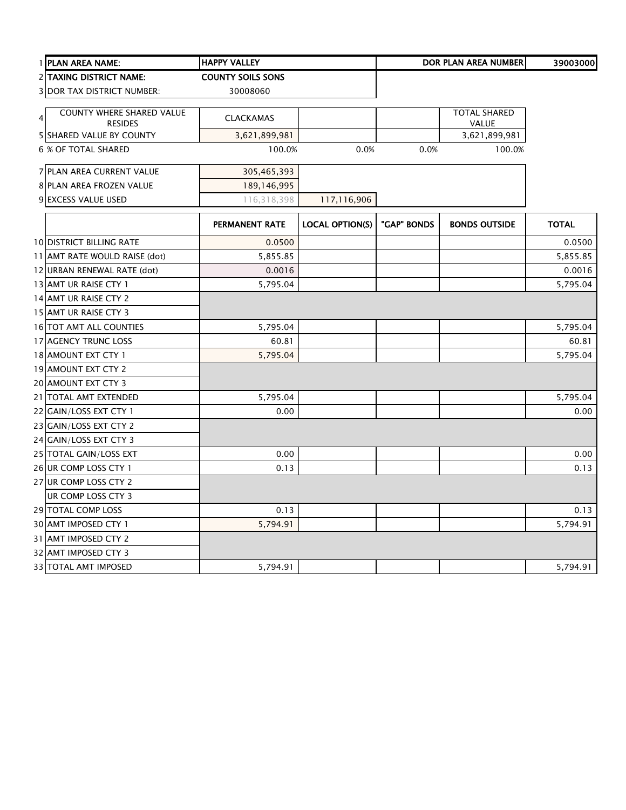|   | 1 PLAN AREA NAME:                 | <b>HAPPY VALLEY</b>      |                        |             | <b>DOR PLAN AREA NUMBER</b> | 39003000     |
|---|-----------------------------------|--------------------------|------------------------|-------------|-----------------------------|--------------|
|   | 2 TAXING DISTRICT NAME:           | <b>COUNTY SOILS SONS</b> |                        |             |                             |              |
|   | <b>3 DOR TAX DISTRICT NUMBER:</b> | 30008060                 |                        |             |                             |              |
|   | <b>COUNTY WHERE SHARED VALUE</b>  |                          |                        |             | <b>TOTAL SHARED</b>         |              |
| 4 | <b>RESIDES</b>                    | <b>CLACKAMAS</b>         |                        |             | <b>VALUE</b>                |              |
|   | 5 SHARED VALUE BY COUNTY          | 3,621,899,981            |                        |             | 3,621,899,981               |              |
|   | <b>6 % OF TOTAL SHARED</b>        | 100.0%                   | 0.0%                   | 0.0%        | 100.0%                      |              |
|   | 7 PLAN AREA CURRENT VALUE         | 305,465,393              |                        |             |                             |              |
|   | 8 PLAN AREA FROZEN VALUE          | 189,146,995              |                        |             |                             |              |
|   | 9 EXCESS VALUE USED               | 116,318,398              | 117,116,906            |             |                             |              |
|   |                                   | PERMANENT RATE           | <b>LOCAL OPTION(S)</b> | "GAP" BONDS | <b>BONDS OUTSIDE</b>        | <b>TOTAL</b> |
|   |                                   |                          |                        |             |                             |              |
|   | <b>10 DISTRICT BILLING RATE</b>   | 0.0500                   |                        |             |                             | 0.0500       |
|   | 11 AMT RATE WOULD RAISE (dot)     | 5,855.85                 |                        |             |                             | 5,855.85     |
|   | 12 URBAN RENEWAL RATE (dot)       | 0.0016                   |                        |             |                             | 0.0016       |
|   | 13 AMT UR RAISE CTY 1             | 5,795.04                 |                        |             |                             | 5,795.04     |
|   | 14 AMT UR RAISE CTY 2             |                          |                        |             |                             |              |
|   | 15 AMT UR RAISE CTY 3             |                          |                        |             |                             |              |
|   | <b>16 TOT AMT ALL COUNTIES</b>    | 5,795.04                 |                        |             |                             | 5,795.04     |
|   | 17 AGENCY TRUNC LOSS              | 60.81                    |                        |             |                             | 60.81        |
|   | 18 AMOUNT EXT CTY 1               | 5,795.04                 |                        |             |                             | 5,795.04     |
|   | 19 AMOUNT EXT CTY 2               |                          |                        |             |                             |              |
|   | 20 AMOUNT EXT CTY 3               |                          |                        |             |                             |              |
|   | 21   TOTAL AMT EXTENDED           | 5,795.04                 |                        |             |                             | 5,795.04     |
|   | 22 GAIN/LOSS EXT CTY 1            | 0.00                     |                        |             |                             | 0.00         |
|   | 23 GAIN/LOSS EXT CTY 2            |                          |                        |             |                             |              |
|   | 24 GAIN/LOSS EXT CTY 3            |                          |                        |             |                             |              |
|   | 25 TOTAL GAIN/LOSS EXT            | 0.00                     |                        |             |                             | 0.00         |
|   | 26 UR COMP LOSS CTY 1             | 0.13                     |                        |             |                             | 0.13         |
|   | 27 UR COMP LOSS CTY 2             |                          |                        |             |                             |              |
|   | UR COMP LOSS CTY 3                |                          |                        |             |                             |              |
|   | 29 TOTAL COMP LOSS                | 0.13                     |                        |             |                             | 0.13         |
|   | 30 AMT IMPOSED CTY 1              | 5,794.91                 |                        |             |                             | 5,794.91     |
|   | 31 AMT IMPOSED CTY 2              |                          |                        |             |                             |              |
|   | 32 AMT IMPOSED CTY 3              |                          |                        |             |                             |              |
|   | 33 TOTAL AMT IMPOSED              | 5,794.91                 |                        |             |                             | 5,794.91     |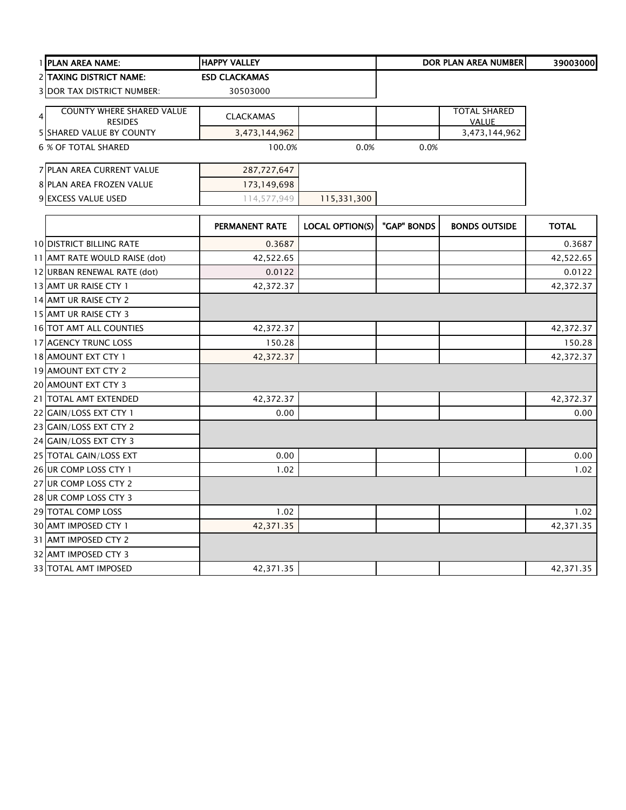| 1 PLAN AREA NAME:                                                    | <b>HAPPY VALLEY</b>  |                        |             | <b>DOR PLAN AREA NUMBER</b>         | 39003000     |
|----------------------------------------------------------------------|----------------------|------------------------|-------------|-------------------------------------|--------------|
| 2 TAXING DISTRICT NAME:                                              | <b>ESD CLACKAMAS</b> |                        |             |                                     |              |
| <b>3 DOR TAX DISTRICT NUMBER:</b>                                    | 30503000             |                        |             |                                     |              |
| <b>COUNTY WHERE SHARED VALUE</b><br>$\overline{4}$<br><b>RESIDES</b> | <b>CLACKAMAS</b>     |                        |             | <b>TOTAL SHARED</b><br><b>VALUE</b> |              |
| 5 SHARED VALUE BY COUNTY                                             | 3,473,144,962        |                        |             | 3,473,144,962                       |              |
| <b>6 % OF TOTAL SHARED</b>                                           | 100.0%               | 0.0%                   | 0.0%        |                                     |              |
| 7 PLAN AREA CURRENT VALUE                                            | 287,727,647          |                        |             |                                     |              |
| 8 PLAN AREA FROZEN VALUE                                             | 173,149,698          |                        |             |                                     |              |
| 9 EXCESS VALUE USED                                                  | 114,577,949          | 115,331,300            |             |                                     |              |
|                                                                      | PERMANENT RATE       | <b>LOCAL OPTION(S)</b> | "GAP" BONDS | <b>BONDS OUTSIDE</b>                | <b>TOTAL</b> |
| 10 DISTRICT BILLING RATE                                             | 0.3687               |                        |             |                                     | 0.3687       |
| 11 AMT RATE WOULD RAISE (dot)                                        | 42,522.65            |                        |             |                                     | 42,522.65    |
| 12 URBAN RENEWAL RATE (dot)                                          | 0.0122               |                        |             |                                     | 0.0122       |
| 13 AMT UR RAISE CTY 1                                                | 42,372.37            |                        |             |                                     | 42,372.37    |
| 14 AMT UR RAISE CTY 2                                                |                      |                        |             |                                     |              |
| 15 AMT UR RAISE CTY 3                                                |                      |                        |             |                                     |              |
| <b>16 TOT AMT ALL COUNTIES</b>                                       | 42,372.37            |                        |             |                                     | 42,372.37    |
| 17 AGENCY TRUNC LOSS                                                 | 150.28               |                        |             |                                     | 150.28       |
| 18 AMOUNT EXT CTY 1                                                  | 42,372.37            |                        |             |                                     | 42,372.37    |
| 19 AMOUNT EXT CTY 2                                                  |                      |                        |             |                                     |              |
| 20 AMOUNT EXT CTY 3                                                  |                      |                        |             |                                     |              |
| 21 TOTAL AMT EXTENDED                                                | 42,372.37            |                        |             |                                     | 42,372.37    |
| 22 GAIN/LOSS EXT CTY 1                                               | 0.00                 |                        |             |                                     | 0.00         |
| 23 GAIN/LOSS EXT CTY 2                                               |                      |                        |             |                                     |              |
| 24 GAIN/LOSS EXT CTY 3                                               |                      |                        |             |                                     |              |
| 25 TOTAL GAIN/LOSS EXT                                               | 0.00                 |                        |             |                                     | 0.00         |
| 26 UR COMP LOSS CTY 1                                                | 1.02                 |                        |             |                                     | 1.02         |
| 27 UR COMP LOSS CTY 2                                                |                      |                        |             |                                     |              |
| 28 UR COMP LOSS CTY 3                                                |                      |                        |             |                                     |              |
| 29 TOTAL COMP LOSS                                                   | 1.02                 |                        |             |                                     | 1.02         |
| 30 AMT IMPOSED CTY 1                                                 | 42,371.35            |                        |             |                                     | 42,371.35    |
| 31 AMT IMPOSED CTY 2                                                 |                      |                        |             |                                     |              |
| 32 AMT IMPOSED CTY 3                                                 |                      |                        |             |                                     |              |
| <b>33 TOTAL AMT IMPOSED</b>                                          | 42,371.35            |                        |             |                                     | 42,371.35    |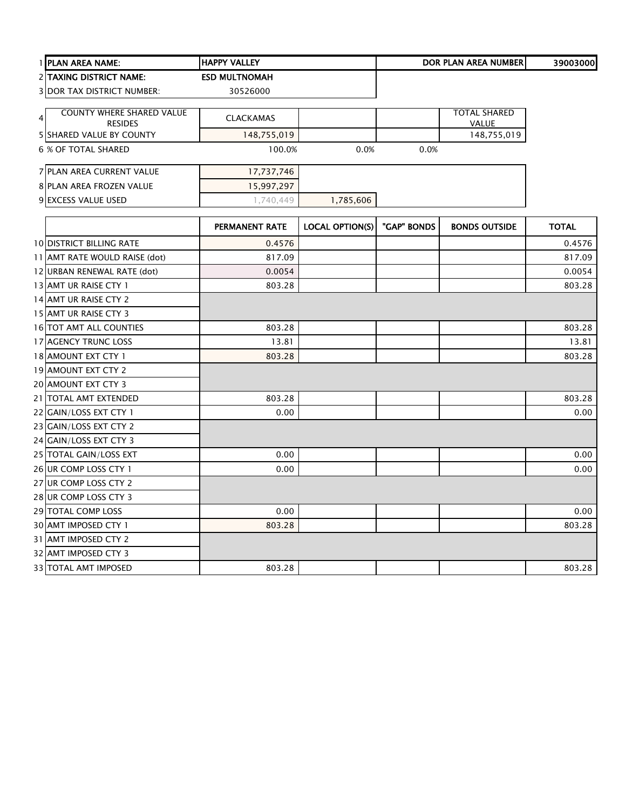|                | 1 PLAN AREA NAME:                           | <b>HAPPY VALLEY</b>   |                        |             | <b>DOR PLAN AREA NUMBER</b>         | 39003000     |
|----------------|---------------------------------------------|-----------------------|------------------------|-------------|-------------------------------------|--------------|
|                | 2 TAXING DISTRICT NAME:                     | <b>ESD MULTNOMAH</b>  |                        |             |                                     |              |
|                | <b>3 DOR TAX DISTRICT NUMBER:</b>           | 30526000              |                        |             |                                     |              |
|                |                                             |                       |                        |             |                                     |              |
| $\overline{4}$ | COUNTY WHERE SHARED VALUE<br><b>RESIDES</b> | <b>CLACKAMAS</b>      |                        |             | <b>TOTAL SHARED</b><br><b>VALUE</b> |              |
|                | <b>5 SHARED VALUE BY COUNTY</b>             | 148,755,019           |                        |             | 148,755,019                         |              |
|                | 6 % OF TOTAL SHARED                         | 100.0%                | 0.0%                   | 0.0%        |                                     |              |
|                | 7 PLAN AREA CURRENT VALUE                   | 17,737,746            |                        |             |                                     |              |
|                | 8 PLAN AREA FROZEN VALUE                    | 15,997,297            |                        |             |                                     |              |
|                | 9 EXCESS VALUE USED                         | 1,740,449             | 1,785,606              |             |                                     |              |
|                |                                             | <b>PERMANENT RATE</b> | <b>LOCAL OPTION(S)</b> | "GAP" BONDS | <b>BONDS OUTSIDE</b>                | <b>TOTAL</b> |
|                | <b>10 DISTRICT BILLING RATE</b>             | 0.4576                |                        |             |                                     | 0.4576       |
|                | 11 AMT RATE WOULD RAISE (dot)               | 817.09                |                        |             |                                     | 817.09       |
|                | 12 URBAN RENEWAL RATE (dot)                 | 0.0054                |                        |             |                                     | 0.0054       |
|                | 13 AMT UR RAISE CTY 1                       | 803.28                |                        |             |                                     | 803.28       |
|                | 14 AMT UR RAISE CTY 2                       |                       |                        |             |                                     |              |
|                | 15 AMT UR RAISE CTY 3                       |                       |                        |             |                                     |              |
|                | 16 TOT AMT ALL COUNTIES                     | 803.28                |                        |             |                                     | 803.28       |
|                | 17 AGENCY TRUNC LOSS                        | 13.81                 |                        |             |                                     | 13.81        |
|                | 18 AMOUNT EXT CTY 1                         | 803.28                |                        |             |                                     | 803.28       |
|                | 19 AMOUNT EXT CTY 2                         |                       |                        |             |                                     |              |
|                | 20 AMOUNT EXT CTY 3                         |                       |                        |             |                                     |              |
|                | 21 TOTAL AMT EXTENDED                       | 803.28                |                        |             |                                     | 803.28       |
|                | 22 GAIN/LOSS EXT CTY 1                      | 0.00                  |                        |             |                                     | 0.00         |
|                | 23 GAIN/LOSS EXT CTY 2                      |                       |                        |             |                                     |              |
|                | 24 GAIN/LOSS EXT CTY 3                      |                       |                        |             |                                     |              |
|                | 25 TOTAL GAIN/LOSS EXT                      | 0.00                  |                        |             |                                     | 0.00         |
|                | 26 UR COMP LOSS CTY 1                       | 0.00                  |                        |             |                                     | 0.00         |
|                | 27 UR COMP LOSS CTY 2                       |                       |                        |             |                                     |              |
|                | 28 UR COMP LOSS CTY 3                       |                       |                        |             |                                     |              |
|                | 29 TOTAL COMP LOSS                          | 0.00                  |                        |             |                                     | 0.00         |
|                | 30 AMT IMPOSED CTY 1                        | 803.28                |                        |             |                                     | 803.28       |
|                | 31 AMT IMPOSED CTY 2                        |                       |                        |             |                                     |              |
|                | 32 AMT IMPOSED CTY 3                        |                       |                        |             |                                     |              |
|                | 33 TOTAL AMT IMPOSED                        | 803.28                |                        |             |                                     | 803.28       |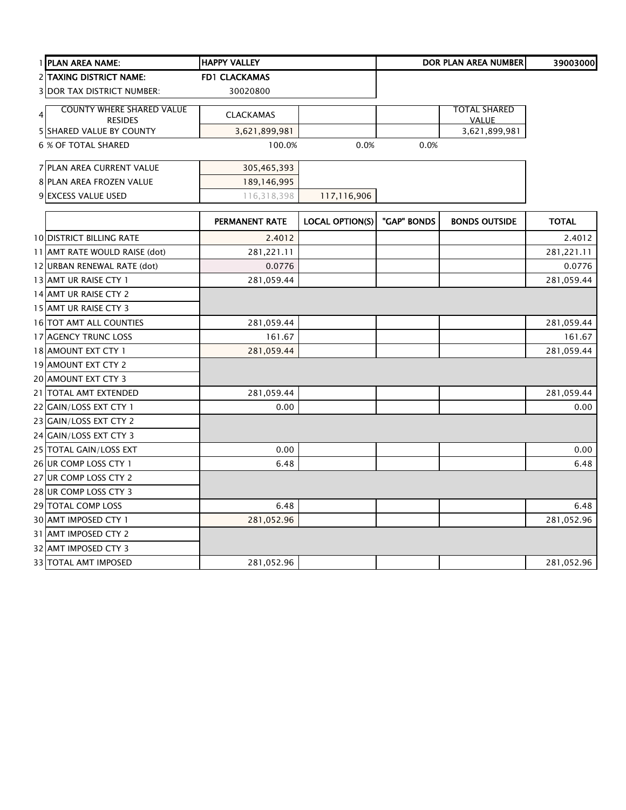|                | 1 PLAN AREA NAME:                                 | <b>HAPPY VALLEY</b>  |                        |             | DOR PLAN AREA NUMBER          | 39003000     |
|----------------|---------------------------------------------------|----------------------|------------------------|-------------|-------------------------------|--------------|
|                | 2 TAXING DISTRICT NAME:                           | <b>FD1 CLACKAMAS</b> |                        |             |                               |              |
|                | <b>3 DOR TAX DISTRICT NUMBER:</b>                 | 30020800             |                        |             |                               |              |
| $\overline{4}$ | <b>COUNTY WHERE SHARED VALUE</b>                  | <b>CLACKAMAS</b>     |                        |             | TOTAL SHARED                  |              |
|                | <b>RESIDES</b><br><b>5 SHARED VALUE BY COUNTY</b> | 3,621,899,981        |                        |             | <b>VALUE</b><br>3,621,899,981 |              |
|                | <b>6 % OF TOTAL SHARED</b>                        | 100.0%               | 0.0%                   | 0.0%        |                               |              |
|                |                                                   |                      |                        |             |                               |              |
|                | 7 PLAN AREA CURRENT VALUE                         | 305,465,393          |                        |             |                               |              |
|                | 8 PLAN AREA FROZEN VALUE                          | 189,146,995          |                        |             |                               |              |
|                | 9 EXCESS VALUE USED                               | 116,318,398          | 117,116,906            |             |                               |              |
|                |                                                   | PERMANENT RATE       | <b>LOCAL OPTION(S)</b> | "GAP" BONDS | <b>BONDS OUTSIDE</b>          | <b>TOTAL</b> |
|                | <b>10 DISTRICT BILLING RATE</b>                   | 2.4012               |                        |             |                               | 2.4012       |
|                | 11 AMT RATE WOULD RAISE (dot)                     | 281,221.11           |                        |             |                               | 281,221.11   |
|                | 12 URBAN RENEWAL RATE (dot)                       | 0.0776               |                        |             |                               | 0.0776       |
|                | 13 AMT UR RAISE CTY 1                             | 281,059.44           |                        |             |                               | 281,059.44   |
|                | 14 AMT UR RAISE CTY 2                             |                      |                        |             |                               |              |
|                | 15 AMT UR RAISE CTY 3                             |                      |                        |             |                               |              |
|                | 16 TOT AMT ALL COUNTIES                           | 281,059.44           |                        |             |                               | 281,059.44   |
|                | 17 AGENCY TRUNC LOSS                              | 161.67               |                        |             |                               | 161.67       |
|                | 18 AMOUNT EXT CTY 1                               | 281,059.44           |                        |             |                               | 281,059.44   |
|                | 19 AMOUNT EXT CTY 2                               |                      |                        |             |                               |              |
|                | 20 AMOUNT EXT CTY 3                               |                      |                        |             |                               |              |
|                | 21 TOTAL AMT EXTENDED                             | 281,059.44           |                        |             |                               | 281,059.44   |
|                | 22 GAIN/LOSS EXT CTY 1                            | 0.00                 |                        |             |                               | 0.00         |
|                | 23 GAIN/LOSS EXT CTY 2                            |                      |                        |             |                               |              |
|                | 24 GAIN/LOSS EXT CTY 3                            |                      |                        |             |                               |              |
|                | 25 TOTAL GAIN/LOSS EXT                            | 0.00                 |                        |             |                               | 0.00         |
|                | 26 UR COMP LOSS CTY 1                             | 6.48                 |                        |             |                               | 6.48         |
|                | 27 UR COMP LOSS CTY 2                             |                      |                        |             |                               |              |
|                | 28 UR COMP LOSS CTY 3                             |                      |                        |             |                               |              |
|                | 29 TOTAL COMP LOSS                                | 6.48                 |                        |             |                               | 6.48         |
|                | 30 AMT IMPOSED CTY 1                              | 281,052.96           |                        |             |                               | 281,052.96   |
|                | 31 AMT IMPOSED CTY 2                              |                      |                        |             |                               |              |
|                | 32 AMT IMPOSED CTY 3                              |                      |                        |             |                               |              |
|                | 33 TOTAL AMT IMPOSED                              | 281,052.96           |                        |             |                               | 281,052.96   |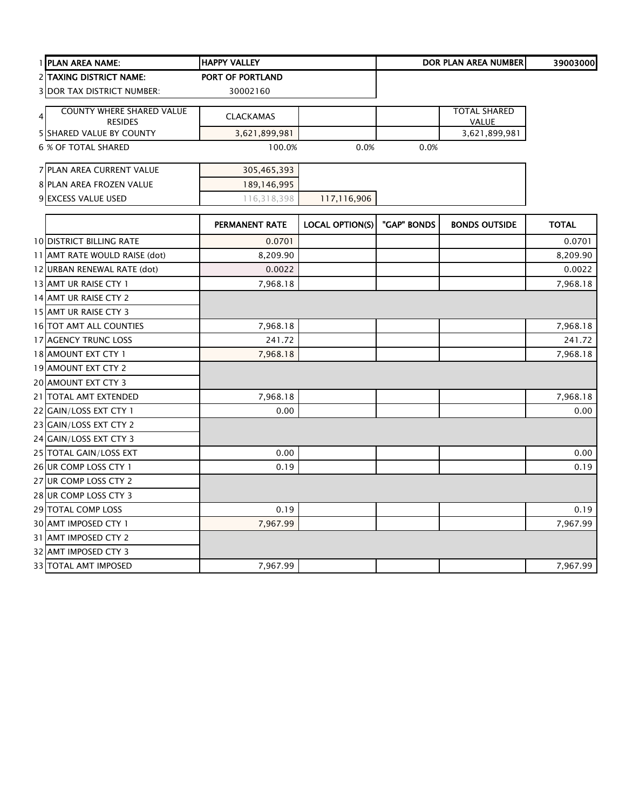| 1 PLAN AREA NAME:                                       | <b>HAPPY VALLEY</b>   |                        |             | <b>DOR PLAN AREA NUMBER</b>  | 39003000     |
|---------------------------------------------------------|-----------------------|------------------------|-------------|------------------------------|--------------|
| 2 TAXING DISTRICT NAME:                                 | PORT OF PORTLAND      |                        |             |                              |              |
| <b>3 DOR TAX DISTRICT NUMBER:</b>                       | 30002160              |                        |             |                              |              |
| <b>COUNTY WHERE SHARED VALUE</b><br>4<br><b>RESIDES</b> | <b>CLACKAMAS</b>      |                        |             | <b>TOTAL SHARED</b><br>VALUE |              |
| 5 SHARED VALUE BY COUNTY                                | 3,621,899,981         |                        |             | 3,621,899,981                |              |
| <b>6 % OF TOTAL SHARED</b>                              | 100.0%                | 0.0%                   | 0.0%        |                              |              |
| 7 PLAN AREA CURRENT VALUE                               | 305,465,393           |                        |             |                              |              |
| 8 PLAN AREA FROZEN VALUE                                | 189,146,995           |                        |             |                              |              |
| 9 EXCESS VALUE USED                                     | 116,318,398           | 117,116,906            |             |                              |              |
|                                                         | <b>PERMANENT RATE</b> | <b>LOCAL OPTION(S)</b> | "GAP" BONDS | <b>BONDS OUTSIDE</b>         | <b>TOTAL</b> |
| <b>10 DISTRICT BILLING RATE</b>                         | 0.0701                |                        |             |                              | 0.0701       |
| 11 AMT RATE WOULD RAISE (dot)                           | 8,209.90              |                        |             |                              | 8,209.90     |
| 12 URBAN RENEWAL RATE (dot)                             | 0.0022                |                        |             |                              | 0.0022       |
| 13 AMT UR RAISE CTY 1                                   | 7,968.18              |                        |             |                              | 7,968.18     |
| 14 AMT UR RAISE CTY 2                                   |                       |                        |             |                              |              |
| 15 AMT UR RAISE CTY 3                                   |                       |                        |             |                              |              |
| <b>16 TOT AMT ALL COUNTIES</b>                          | 7,968.18              |                        |             |                              | 7,968.18     |
| 17 AGENCY TRUNC LOSS                                    | 241.72                |                        |             |                              | 241.72       |
| 18 AMOUNT EXT CTY 1                                     | 7,968.18              |                        |             |                              | 7,968.18     |
| 19 AMOUNT EXT CTY 2                                     |                       |                        |             |                              |              |
| 20 AMOUNT EXT CTY 3                                     |                       |                        |             |                              |              |
| 21 TOTAL AMT EXTENDED                                   | 7,968.18              |                        |             |                              | 7,968.18     |
| 22 GAIN/LOSS EXT CTY 1                                  | 0.00                  |                        |             |                              | 0.00         |
| 23 GAIN/LOSS EXT CTY 2                                  |                       |                        |             |                              |              |
| 24 GAIN/LOSS EXT CTY 3                                  |                       |                        |             |                              |              |
| 25 TOTAL GAIN/LOSS EXT                                  | 0.00                  |                        |             |                              | 0.00         |
| 26 UR COMP LOSS CTY 1                                   | 0.19                  |                        |             |                              | 0.19         |
| 27 UR COMP LOSS CTY 2                                   |                       |                        |             |                              |              |
| 28 UR COMP LOSS CTY 3                                   |                       |                        |             |                              |              |
| 29 TOTAL COMP LOSS                                      | 0.19                  |                        |             |                              | 0.19         |
| 30 AMT IMPOSED CTY 1                                    | 7,967.99              |                        |             |                              | 7,967.99     |
| 31 AMT IMPOSED CTY 2                                    |                       |                        |             |                              |              |
| 32 AMT IMPOSED CTY 3                                    |                       |                        |             |                              |              |
| 33 TOTAL AMT IMPOSED                                    | 7,967.99              |                        |             |                              | 7,967.99     |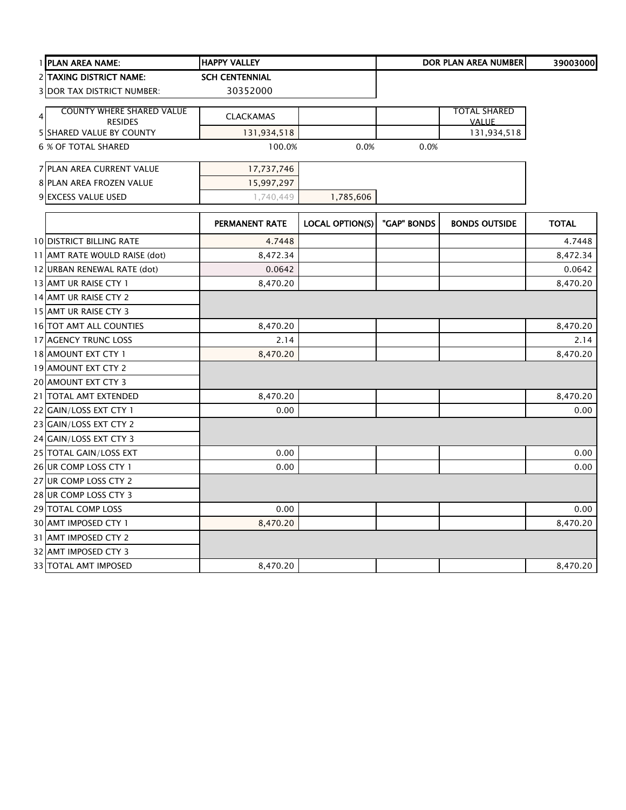| 1 PLAN AREA NAME:                 | <b>HAPPY VALLEY</b>   |                        |             | <b>DOR PLAN AREA NUMBER</b> | 39003000     |
|-----------------------------------|-----------------------|------------------------|-------------|-----------------------------|--------------|
| <b>2 TAXING DISTRICT NAME:</b>    | <b>SCH CENTENNIAL</b> |                        |             |                             |              |
| <b>3 DOR TAX DISTRICT NUMBER:</b> | 30352000              |                        |             |                             |              |
| <b>COUNTY WHERE SHARED VALUE</b>  |                       |                        |             | <b>TOTAL SHARED</b>         |              |
| $\overline{4}$<br><b>RESIDES</b>  | <b>CLACKAMAS</b>      |                        |             | <b>VALUE</b>                |              |
| <b>5 SHARED VALUE BY COUNTY</b>   | 131,934,518           |                        |             | 131,934,518                 |              |
| <b>6 % OF TOTAL SHARED</b>        | 100.0%                | 0.0%                   | 0.0%        |                             |              |
| 7 PLAN AREA CURRENT VALUE         | 17,737,746            |                        |             |                             |              |
| 8 PLAN AREA FROZEN VALUE          | 15,997,297            |                        |             |                             |              |
| 9 EXCESS VALUE USED               | 1,740,449             | 1,785,606              |             |                             |              |
|                                   | PERMANENT RATE        | <b>LOCAL OPTION(S)</b> | "GAP" BONDS | <b>BONDS OUTSIDE</b>        | <b>TOTAL</b> |
| <b>10 DISTRICT BILLING RATE</b>   | 4.7448                |                        |             |                             | 4.7448       |
| 11 AMT RATE WOULD RAISE (dot)     | 8,472.34              |                        |             |                             | 8,472.34     |
| 12 URBAN RENEWAL RATE (dot)       | 0.0642                |                        |             |                             | 0.0642       |
| 13 AMT UR RAISE CTY 1             | 8,470.20              |                        |             |                             | 8,470.20     |
| 14 AMT UR RAISE CTY 2             |                       |                        |             |                             |              |
| 15 AMT UR RAISE CTY 3             |                       |                        |             |                             |              |
| 16 TOT AMT ALL COUNTIES           | 8,470.20              |                        |             |                             | 8,470.20     |
| 17 AGENCY TRUNC LOSS              | 2.14                  |                        |             |                             | 2.14         |
| 18 AMOUNT EXT CTY 1               | 8,470.20              |                        |             |                             | 8,470.20     |
| 19 AMOUNT EXT CTY 2               |                       |                        |             |                             |              |
| 20 AMOUNT EXT CTY 3               |                       |                        |             |                             |              |
| 21 TOTAL AMT EXTENDED             | 8,470.20              |                        |             |                             | 8,470.20     |
| 22 GAIN/LOSS EXT CTY 1            | 0.00                  |                        |             |                             | 0.00         |
| 23 GAIN/LOSS EXT CTY 2            |                       |                        |             |                             |              |
| 24 GAIN/LOSS EXT CTY 3            |                       |                        |             |                             |              |
| 25 TOTAL GAIN/LOSS EXT            | 0.00                  |                        |             |                             | 0.00         |
| 26 UR COMP LOSS CTY 1             | 0.00                  |                        |             |                             | 0.00         |
| 27 UR COMP LOSS CTY 2             |                       |                        |             |                             |              |
| 28 UR COMP LOSS CTY 3             |                       |                        |             |                             |              |
| 29 TOTAL COMP LOSS                | 0.00                  |                        |             |                             | 0.00         |
| 30 AMT IMPOSED CTY 1              | 8,470.20              |                        |             |                             | 8,470.20     |
| 31 AMT IMPOSED CTY 2              |                       |                        |             |                             |              |
| 32 AMT IMPOSED CTY 3              |                       |                        |             |                             |              |
| 33 TOTAL AMT IMPOSED              | 8,470.20              |                        |             |                             | 8,470.20     |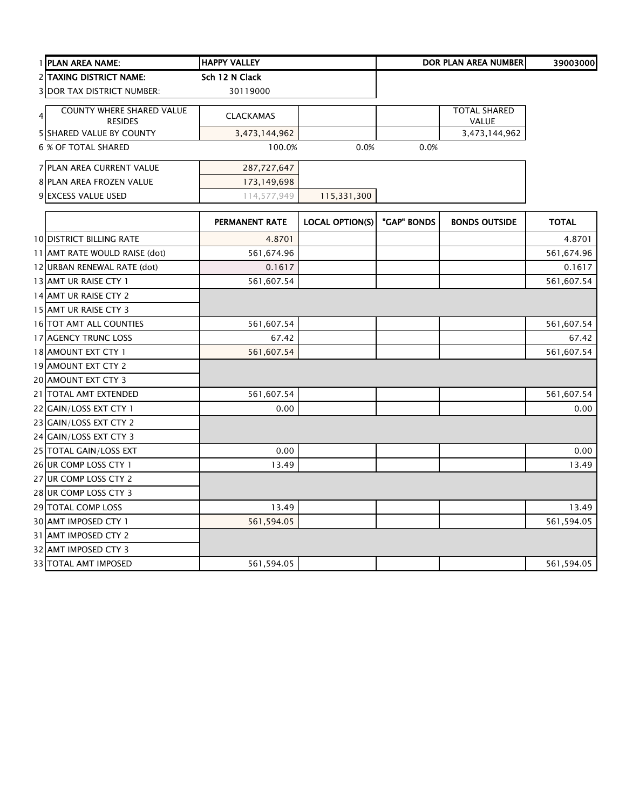| 1 PLAN AREA NAME:                                                    | <b>HAPPY VALLEY</b> |                        |             | <b>DOR PLAN AREA NUMBER</b>  | 39003000     |
|----------------------------------------------------------------------|---------------------|------------------------|-------------|------------------------------|--------------|
| 2 TAXING DISTRICT NAME:                                              | Sch 12 N Clack      |                        |             |                              |              |
| <b>3 DOR TAX DISTRICT NUMBER:</b>                                    | 30119000            |                        |             |                              |              |
| <b>COUNTY WHERE SHARED VALUE</b><br>$\overline{4}$<br><b>RESIDES</b> | <b>CLACKAMAS</b>    |                        |             | <b>TOTAL SHARED</b><br>VALUE |              |
| <b>5 SHARED VALUE BY COUNTY</b>                                      | 3,473,144,962       |                        |             | 3,473,144,962                |              |
| <b>6 % OF TOTAL SHARED</b>                                           | 100.0%              | 0.0%                   | 0.0%        |                              |              |
| 7 PLAN AREA CURRENT VALUE                                            | 287,727,647         |                        |             |                              |              |
| 8 PLAN AREA FROZEN VALUE                                             | 173,149,698         |                        |             |                              |              |
| 9 EXCESS VALUE USED                                                  | 114,577,949         | 115,331,300            |             |                              |              |
|                                                                      | PERMANENT RATE      | <b>LOCAL OPTION(S)</b> | "GAP" BONDS | <b>BONDS OUTSIDE</b>         | <b>TOTAL</b> |
| <b>10 DISTRICT BILLING RATE</b>                                      | 4.8701              |                        |             |                              | 4.8701       |
| 11 AMT RATE WOULD RAISE (dot)                                        | 561,674.96          |                        |             |                              | 561,674.96   |
| 12 URBAN RENEWAL RATE (dot)                                          | 0.1617              |                        |             |                              | 0.1617       |
| 13 AMT UR RAISE CTY 1                                                | 561,607.54          |                        |             |                              | 561,607.54   |
| 14 AMT UR RAISE CTY 2                                                |                     |                        |             |                              |              |
| 15 AMT UR RAISE CTY 3                                                |                     |                        |             |                              |              |
| 16 TOT AMT ALL COUNTIES                                              | 561,607.54          |                        |             |                              | 561,607.54   |
| 17 AGENCY TRUNC LOSS                                                 | 67.42               |                        |             |                              | 67.42        |
| 18 AMOUNT EXT CTY 1                                                  | 561,607.54          |                        |             |                              | 561,607.54   |
| 19 AMOUNT EXT CTY 2                                                  |                     |                        |             |                              |              |
| 20 AMOUNT EXT CTY 3                                                  |                     |                        |             |                              |              |
| 21 TOTAL AMT EXTENDED                                                | 561,607.54          |                        |             |                              | 561,607.54   |
| 22 GAIN/LOSS EXT CTY 1                                               | 0.00                |                        |             |                              | 0.00         |
| 23 GAIN/LOSS EXT CTY 2                                               |                     |                        |             |                              |              |
| 24 GAIN/LOSS EXT CTY 3                                               |                     |                        |             |                              |              |
| 25 TOTAL GAIN/LOSS EXT                                               | 0.00                |                        |             |                              | 0.00         |
| 26 UR COMP LOSS CTY 1                                                | 13.49               |                        |             |                              | 13.49        |
| 27 UR COMP LOSS CTY 2                                                |                     |                        |             |                              |              |
| 28 UR COMP LOSS CTY 3                                                |                     |                        |             |                              |              |
| 29 TOTAL COMP LOSS                                                   | 13.49               |                        |             |                              | 13.49        |
| 30 AMT IMPOSED CTY 1                                                 | 561,594.05          |                        |             |                              | 561,594.05   |
| 31 AMT IMPOSED CTY 2                                                 |                     |                        |             |                              |              |
| 32 AMT IMPOSED CTY 3                                                 |                     |                        |             |                              |              |
| 33 TOTAL AMT IMPOSED                                                 | 561,594.05          |                        |             |                              | 561,594.05   |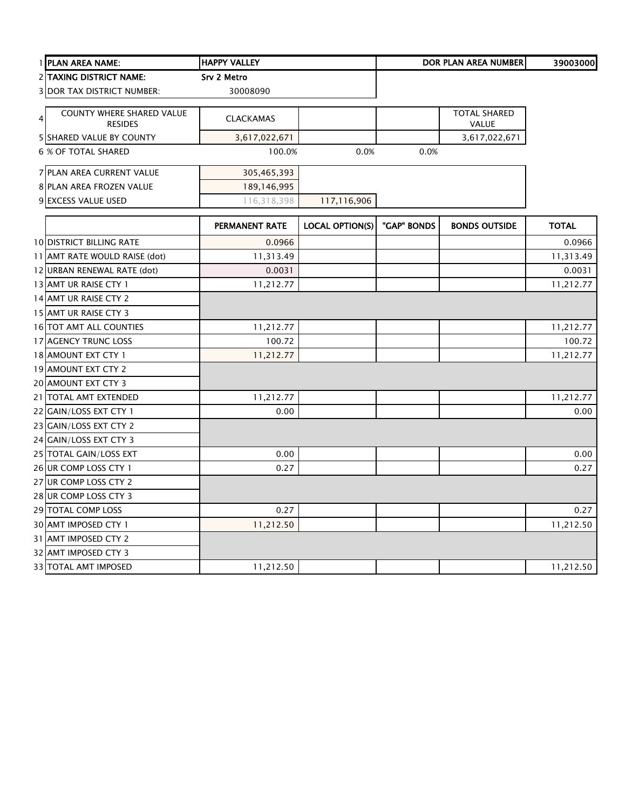|   | 1 PLAN AREA NAME:                                  | <b>HAPPY VALLEY</b>   |                        |             | <b>DOR PLAN AREA NUMBER</b>  | 39003000     |
|---|----------------------------------------------------|-----------------------|------------------------|-------------|------------------------------|--------------|
|   | <b>2 TAXING DISTRICT NAME:</b>                     | Srv 2 Metro           |                        |             |                              |              |
|   | <b>3 DOR TAX DISTRICT NUMBER:</b>                  | 30008090              |                        |             |                              |              |
| 4 | <b>COUNTY WHERE SHARED VALUE</b><br><b>RESIDES</b> | <b>CLACKAMAS</b>      |                        |             | <b>TOTAL SHARED</b><br>VALUE |              |
|   | <b>5 SHARED VALUE BY COUNTY</b>                    | 3,617,022,671         |                        |             | 3,617,022,671                |              |
|   | 6 % OF TOTAL SHARED                                | 100.0%                | 0.0%                   | 0.0%        |                              |              |
|   | 7 PLAN AREA CURRENT VALUE                          | 305,465,393           |                        |             |                              |              |
|   | 8 PLAN AREA FROZEN VALUE                           | 189, 146, 995         |                        |             |                              |              |
|   | 9 EXCESS VALUE USED                                | 116,318,398           | 117,116,906            |             |                              |              |
|   |                                                    | <b>PERMANENT RATE</b> | <b>LOCAL OPTION(S)</b> | "GAP" BONDS | <b>BONDS OUTSIDE</b>         | <b>TOTAL</b> |
|   | <b>10 DISTRICT BILLING RATE</b>                    | 0.0966                |                        |             |                              | 0.0966       |
|   | 11 AMT RATE WOULD RAISE (dot)                      | 11,313.49             |                        |             |                              | 11,313.49    |
|   | 12 URBAN RENEWAL RATE (dot)                        | 0.0031                |                        |             |                              | 0.0031       |
|   | 13 AMT UR RAISE CTY 1                              | 11,212.77             |                        |             |                              | 11,212.77    |
|   | 14 AMT UR RAISE CTY 2                              |                       |                        |             |                              |              |
|   | 15 AMT UR RAISE CTY 3                              |                       |                        |             |                              |              |
|   | 16 TOT AMT ALL COUNTIES                            | 11,212.77             |                        |             |                              | 11,212.77    |
|   | 17 AGENCY TRUNC LOSS                               | 100.72                |                        |             |                              | 100.72       |
|   | 18 AMOUNT EXT CTY 1                                | 11,212.77             |                        |             |                              | 11,212.77    |
|   | 19 AMOUNT EXT CTY 2                                |                       |                        |             |                              |              |
|   | 20 AMOUNT EXT CTY 3                                |                       |                        |             |                              |              |
|   | 21 TOTAL AMT EXTENDED                              | 11,212.77             |                        |             |                              | 11,212.77    |
|   | 22 GAIN/LOSS EXT CTY 1                             | 0.00                  |                        |             |                              | 0.00         |
|   | 23 GAIN/LOSS EXT CTY 2                             |                       |                        |             |                              |              |
|   | 24 GAIN/LOSS EXT CTY 3                             |                       |                        |             |                              |              |
|   | 25 TOTAL GAIN/LOSS EXT                             | 0.00                  |                        |             |                              | 0.00         |
|   | 26 UR COMP LOSS CTY 1                              | 0.27                  |                        |             |                              | 0.27         |
|   | 27 UR COMP LOSS CTY 2                              |                       |                        |             |                              |              |
|   | 28 UR COMP LOSS CTY 3                              |                       |                        |             |                              |              |
|   | 29 TOTAL COMP LOSS                                 | 0.27                  |                        |             |                              | 0.27         |
|   | 30 AMT IMPOSED CTY 1                               | 11,212.50             |                        |             |                              | 11,212.50    |
|   | 31 AMT IMPOSED CTY 2                               |                       |                        |             |                              |              |
|   | 32 AMT IMPOSED CTY 3                               |                       |                        |             |                              |              |
|   | <b>33 TOTAL AMT IMPOSED</b>                        | 11,212.50             |                        |             |                              | 11,212.50    |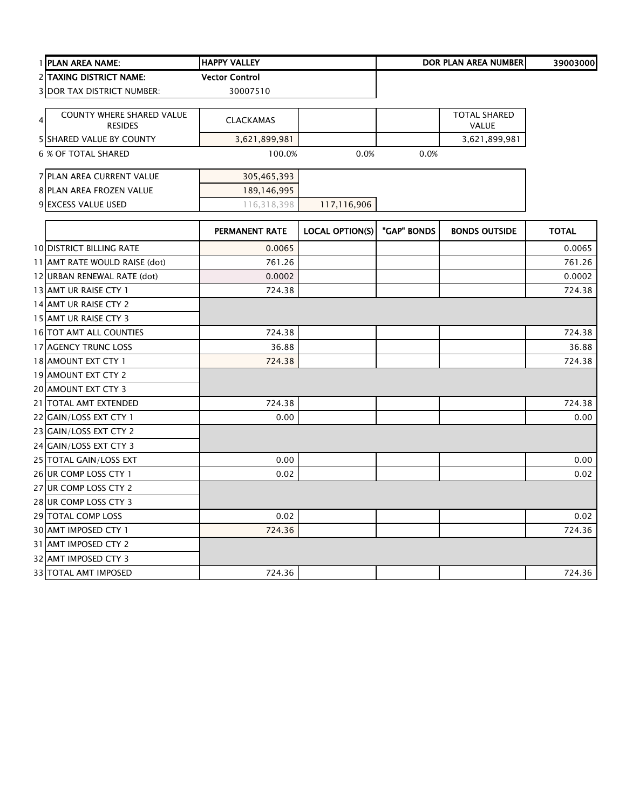|   | 1 PLAN AREA NAME:                           | <b>HAPPY VALLEY</b>   |                        |             | <b>DOR PLAN AREA NUMBER</b>         | 39003000     |
|---|---------------------------------------------|-----------------------|------------------------|-------------|-------------------------------------|--------------|
|   | 2 TAXING DISTRICT NAME:                     | <b>Vector Control</b> |                        |             |                                     |              |
|   | 3 DOR TAX DISTRICT NUMBER:                  | 30007510              |                        |             |                                     |              |
| 4 | COUNTY WHERE SHARED VALUE<br><b>RESIDES</b> | <b>CLACKAMAS</b>      |                        |             | <b>TOTAL SHARED</b><br><b>VALUE</b> |              |
|   | 5 SHARED VALUE BY COUNTY                    | 3,621,899,981         |                        |             | 3,621,899,981                       |              |
|   | 6 % OF TOTAL SHARED                         | 100.0%                | 0.0%                   | 0.0%        |                                     |              |
|   | 7 PLAN AREA CURRENT VALUE                   | 305,465,393           |                        |             |                                     |              |
|   | 8 PLAN AREA FROZEN VALUE                    | 189, 146, 995         |                        |             |                                     |              |
|   | 9 EXCESS VALUE USED                         | 116,318,398           | 117,116,906            |             |                                     |              |
|   |                                             | PERMANENT RATE        | <b>LOCAL OPTION(S)</b> | "GAP" BONDS | <b>BONDS OUTSIDE</b>                | <b>TOTAL</b> |
|   | <b>10 DISTRICT BILLING RATE</b>             | 0.0065                |                        |             |                                     | 0.0065       |
|   | 11 AMT RATE WOULD RAISE (dot)               | 761.26                |                        |             |                                     | 761.26       |
|   | 12 URBAN RENEWAL RATE (dot)                 | 0.0002                |                        |             |                                     | 0.0002       |
|   | 13 AMT UR RAISE CTY 1                       | 724.38                |                        |             |                                     | 724.38       |
|   | 14 AMT UR RAISE CTY 2                       |                       |                        |             |                                     |              |
|   | 15 AMT UR RAISE CTY 3                       |                       |                        |             |                                     |              |
|   | 16 TOT AMT ALL COUNTIES                     | 724.38                |                        |             |                                     | 724.38       |
|   | 17 AGENCY TRUNC LOSS                        | 36.88                 |                        |             |                                     | 36.88        |
|   | 18 AMOUNT EXT CTY 1                         | 724.38                |                        |             |                                     | 724.38       |
|   | 19 AMOUNT EXT CTY 2                         |                       |                        |             |                                     |              |
|   | 20 AMOUNT EXT CTY 3                         |                       |                        |             |                                     |              |
|   | 21 TOTAL AMT EXTENDED                       | 724.38                |                        |             |                                     | 724.38       |
|   | 22 GAIN/LOSS EXT CTY 1                      | 0.00                  |                        |             |                                     | 0.00         |
|   | 23 GAIN/LOSS EXT CTY 2                      |                       |                        |             |                                     |              |
|   | 24 GAIN/LOSS EXT CTY 3                      |                       |                        |             |                                     |              |
|   | 25 TOTAL GAIN/LOSS EXT                      | 0.00                  |                        |             |                                     | 0.00         |
|   | 26 UR COMP LOSS CTY 1                       | 0.02                  |                        |             |                                     | 0.02         |
|   | 27 UR COMP LOSS CTY 2                       |                       |                        |             |                                     |              |
|   | 28 UR COMP LOSS CTY 3                       |                       |                        |             |                                     |              |
|   | 29 TOTAL COMP LOSS                          | 0.02                  |                        |             |                                     | 0.02         |
|   | 30 AMT IMPOSED CTY 1                        | 724.36                |                        |             |                                     | 724.36       |
|   | 31 AMT IMPOSED CTY 2                        |                       |                        |             |                                     |              |
|   | 32 AMT IMPOSED CTY 3                        |                       |                        |             |                                     |              |
|   | 33 TOTAL AMT IMPOSED                        | 724.36                |                        |             |                                     | 724.36       |